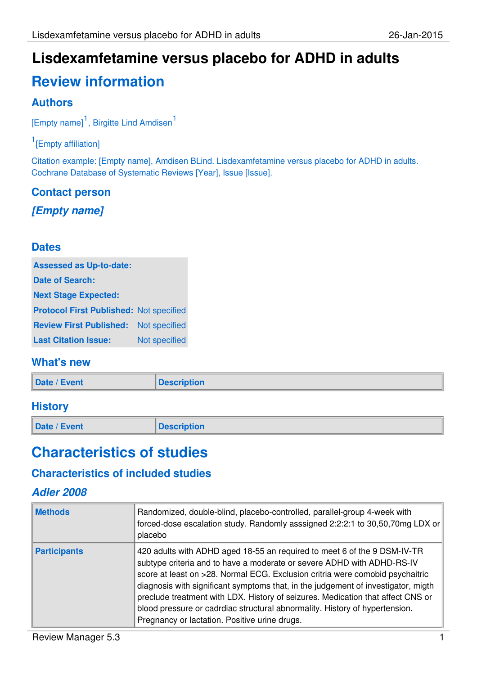# **Review information**

## **Authors**

[Empty name]<sup>1</sup>, Birgitte Lind Amdisen<sup>1</sup>

#### <sup>1</sup>[Empty affiliation]

Citation example: [Empty name], Amdisen BLind. Lisdexamfetamine versus placebo for ADHD in adults. Cochrane Database of Systematic Reviews [Year], Issue [Issue].

# **Contact person [Empty name]**

#### **Dates**

| <b>Assessed as Up-to-date:</b>                 |               |
|------------------------------------------------|---------------|
| <b>Date of Search:</b>                         |               |
| <b>Next Stage Expected:</b>                    |               |
| <b>Protocol First Published: Not specified</b> |               |
| <b>Review First Published:</b>                 | Not specified |
| <b>Last Citation Issue:</b>                    | Not specified |

#### **What's new**

| Date / Event | Description |
|--------------|-------------|
|              |             |

#### **History**

**Date / Event Description** 

# **Characteristics of studies**

#### **Characteristics of included studies**

#### **Adler 2008**

| <b>Methods</b>      | Randomized, double-blind, placebo-controlled, parallel-group 4-week with<br>forced-dose escalation study. Randomly asssigned 2:2:2:1 to 30,50,70mg LDX or<br>placebo                                                                                                                                                                                                                                                                                                                                                                        |
|---------------------|---------------------------------------------------------------------------------------------------------------------------------------------------------------------------------------------------------------------------------------------------------------------------------------------------------------------------------------------------------------------------------------------------------------------------------------------------------------------------------------------------------------------------------------------|
| <b>Participants</b> | 420 adults with ADHD aged 18-55 an required to meet 6 of the 9 DSM-IV-TR<br>subtype criteria and to have a moderate or severe ADHD with ADHD-RS-IV<br>score at least on >28. Normal ECG. Exclusion critria were comobid psychaitric<br>diagnosis with significant symptoms that, in the judgement of investigator, migth<br>preclude treatment with LDX. History of seizures. Medication that affect CNS or<br>blood pressure or cadrdiac structural abnormality. History of hypertension.<br>Pregnancy or lactation. Positive urine drugs. |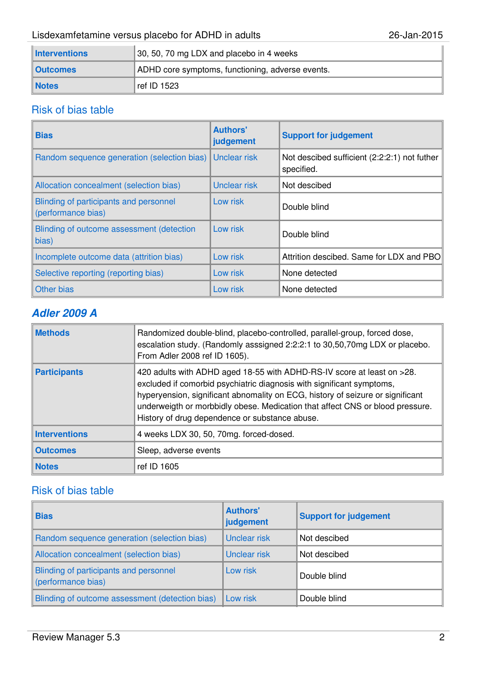| <b>Interventions</b> | 30, 50, 70 mg LDX and placebo in 4 weeks         |  |
|----------------------|--------------------------------------------------|--|
| ∥Outcomes            | ADHD core symptoms, functioning, adverse events. |  |
| <b>Notes</b>         | ref ID 1523                                      |  |

#### Risk of bias table

| <b>Bias</b>                                                  | <b>Authors'</b><br>judgement | <b>Support for judgement</b>                               |
|--------------------------------------------------------------|------------------------------|------------------------------------------------------------|
| Random sequence generation (selection bias)                  | <b>Unclear risk</b>          | Not descibed sufficient (2:2:2:1) not futher<br>specified. |
| Allocation concealment (selection bias)                      | Unclear risk                 | Not descibed                                               |
| Blinding of participants and personnel<br>(performance bias) | Low risk                     | Double blind                                               |
| Blinding of outcome assessment (detection<br>bias)           | Low risk                     | Double blind                                               |
| Incomplete outcome data (attrition bias)                     | Low risk                     | Attrition descibed. Same for LDX and PBO                   |
| Selective reporting (reporting bias)                         | Low risk                     | None detected                                              |
| Other bias                                                   | Low risk                     | None detected                                              |

#### **Adler 2009 A**

| <b>Methods</b>       | Randomized double-blind, placebo-controlled, parallel-group, forced dose,<br>escalation study. (Randomly asssigned 2:2:2:1 to 30,50,70mg LDX or placebo.<br>From Adler 2008 ref ID 1605).                                                                                                                                                                            |
|----------------------|----------------------------------------------------------------------------------------------------------------------------------------------------------------------------------------------------------------------------------------------------------------------------------------------------------------------------------------------------------------------|
| <b>Participants</b>  | 420 adults with ADHD aged 18-55 with ADHD-RS-IV score at least on >28.<br>excluded if comorbid psychiatric diagnosis with significant symptoms,<br>hyperyension, significant abnomality on ECG, history of seizure or significant<br>underweigth or morbbidly obese. Medication that affect CNS or blood pressure.<br>History of drug dependence or substance abuse. |
| <b>Interventions</b> | 4 weeks LDX 30, 50, 70mg. forced-dosed.                                                                                                                                                                                                                                                                                                                              |
| <b>Outcomes</b>      | Sleep, adverse events                                                                                                                                                                                                                                                                                                                                                |
| <b>Notes</b>         | ref ID 1605                                                                                                                                                                                                                                                                                                                                                          |

| <b>Bias</b>                                                  | <b>Authors'</b><br>judgement | <b>Support for judgement</b> |
|--------------------------------------------------------------|------------------------------|------------------------------|
| Random sequence generation (selection bias)                  | Unclear risk                 | Not descibed                 |
| Allocation concealment (selection bias)                      | Unclear risk                 | Not descibed                 |
| Blinding of participants and personnel<br>(performance bias) | Low risk                     | Double blind                 |
| Blinding of outcome assessment (detection bias)              | Low risk                     | Double blind                 |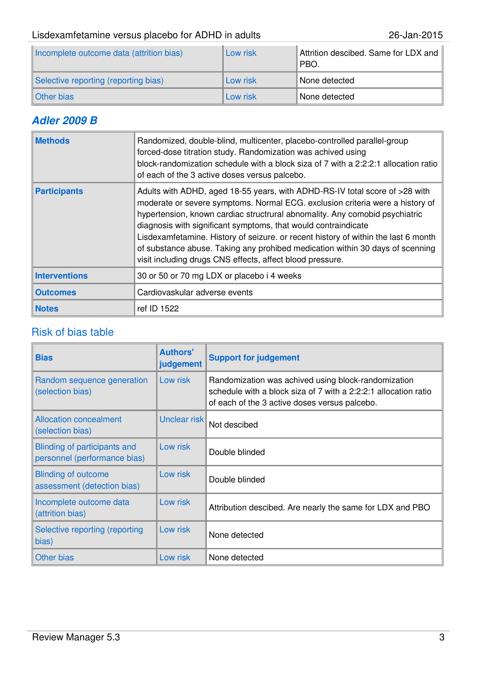| Incomplete outcome data (attrition bias) | Low risk | Attrition descibed. Same for LDX and<br>PBO. |
|------------------------------------------|----------|----------------------------------------------|
| Selective reporting (reporting bias)     | Low risk | None detected                                |
| Other bias                               | Low risk | None detected                                |

### **Adler 2009 B**

| <b>Methods</b>       | Randomized, double-blind, multicenter, placebo-controlled parallel-group<br>forced-dose titration study. Randomization was achived using<br>block-randomization schedule with a block siza of 7 with a 2:2:2:1 allocation ratio<br>of each of the 3 active doses versus palcebo.                                                                                                                                                                                                                                                                  |
|----------------------|---------------------------------------------------------------------------------------------------------------------------------------------------------------------------------------------------------------------------------------------------------------------------------------------------------------------------------------------------------------------------------------------------------------------------------------------------------------------------------------------------------------------------------------------------|
| <b>Participants</b>  | Adults with ADHD, aged 18-55 years, with ADHD-RS-IV total score of >28 with<br>moderate or severe symptoms. Normal ECG. exclusion criteria were a history of<br>hypertension, known cardiac structrural abnomality. Any comobid psychiatric<br>diagnosis with significant symptoms, that would contraindicate<br>Lisdexamfetamine. History of seizure. or recent history of within the last 6 month<br>of substance abuse. Taking any prohibed medication within 30 days of scenning<br>visit including drugs CNS effects, affect blood pressure. |
| <b>Interventions</b> | 30 or 50 or 70 mg LDX or placebo i 4 weeks                                                                                                                                                                                                                                                                                                                                                                                                                                                                                                        |
| <b>Outcomes</b>      | Cardiovaskular adverse events                                                                                                                                                                                                                                                                                                                                                                                                                                                                                                                     |
| <b>Notes</b>         | ref ID 1522                                                                                                                                                                                                                                                                                                                                                                                                                                                                                                                                       |

| <b>Bias</b>                                                  | <b>Authors'</b><br>judgement | <b>Support for judgement</b>                                                                                                                                            |
|--------------------------------------------------------------|------------------------------|-------------------------------------------------------------------------------------------------------------------------------------------------------------------------|
| Random sequence generation<br>(selection bias)               | Low risk                     | Randomization was achived using block-randomization<br>schedule with a block siza of 7 with a 2:2:2:1 allocation ratio<br>of each of the 3 active doses versus palcebo. |
| <b>Allocation concealment</b><br>(selection bias)            | Unclear risk                 | Not descibed                                                                                                                                                            |
| Blinding of participants and<br>personnel (performance bias) | Low risk                     | Double blinded                                                                                                                                                          |
| <b>Blinding of outcome</b><br>assessment (detection bias)    | Low risk                     | Double blinded                                                                                                                                                          |
| Incomplete outcome data<br>(attrition bias)                  | Low risk                     | Attribution descibed. Are nearly the same for LDX and PBO                                                                                                               |
| Selective reporting (reporting<br>bias)                      | Low risk                     | None detected                                                                                                                                                           |
| Other bias                                                   | Low risk                     | None detected                                                                                                                                                           |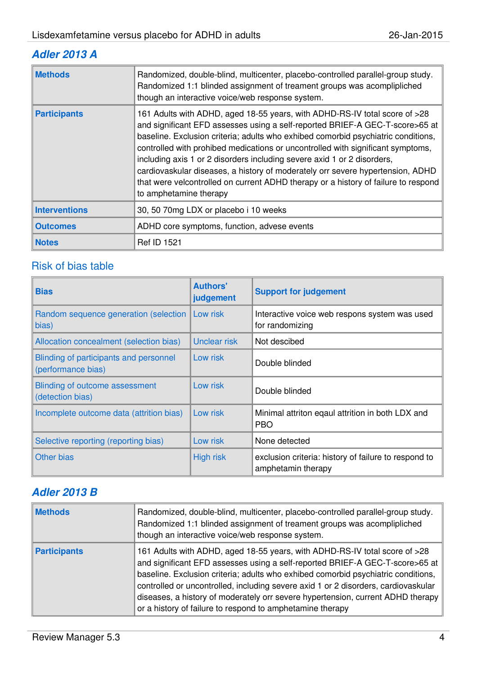#### **Adler 2013 A**

| <b>Methods</b>       | Randomized, double-blind, multicenter, placebo-controlled parallel-group study.<br>Randomized 1:1 blinded assignment of treament groups was acomplipliched<br>though an interactive voice/web response system.                                                                                                                                                                                                                                                                                                                                                                                                  |  |
|----------------------|-----------------------------------------------------------------------------------------------------------------------------------------------------------------------------------------------------------------------------------------------------------------------------------------------------------------------------------------------------------------------------------------------------------------------------------------------------------------------------------------------------------------------------------------------------------------------------------------------------------------|--|
| <b>Participants</b>  | 161 Adults with ADHD, aged 18-55 years, with ADHD-RS-IV total score of >28<br>and significant EFD assesses using a self-reported BRIEF-A GEC-T-score>65 at<br>baseline. Exclusion criteria; adults who exhibed comorbid psychiatric conditions,<br>controlled with prohibed medications or uncontrolled with significant symptoms,<br>including axis 1 or 2 disorders including severe axid 1 or 2 disorders,<br>cardiovaskular diseases, a history of moderately orr severe hypertension, ADHD<br>that were velcontrolled on current ADHD therapy or a history of failure to respond<br>to amphetamine therapy |  |
| <b>Interventions</b> | 30, 50 70mg LDX or placebo i 10 weeks                                                                                                                                                                                                                                                                                                                                                                                                                                                                                                                                                                           |  |
| <b>Outcomes</b>      | ADHD core symptoms, function, advese events                                                                                                                                                                                                                                                                                                                                                                                                                                                                                                                                                                     |  |
| <b>Notes</b>         | <b>Ref ID 1521</b>                                                                                                                                                                                                                                                                                                                                                                                                                                                                                                                                                                                              |  |

#### Risk of bias table

| <b>Bias</b>                                                  | <b>Authors'</b><br>judgement | <b>Support for judgement</b>                                               |
|--------------------------------------------------------------|------------------------------|----------------------------------------------------------------------------|
| Random sequence generation (selection<br>bias)               | Low risk                     | Interactive voice web respons system was used<br>for randomizing           |
| Allocation concealment (selection bias)                      | Unclear risk                 | Not descibed                                                               |
| Blinding of participants and personnel<br>(performance bias) | Low risk                     | Double blinded                                                             |
| Blinding of outcome assessment<br>(detection bias)           | Low risk                     | Double blinded                                                             |
| Incomplete outcome data (attrition bias)                     | Low risk                     | Minimal attriton eqaul attrition in both LDX and<br><b>PBO</b>             |
| Selective reporting (reporting bias)                         | Low risk                     | None detected                                                              |
| Other bias                                                   | <b>High risk</b>             | exclusion criteria: history of failure to respond to<br>amphetamin therapy |

## **Adler 2013 B**

| <b>Methods</b>      | Randomized, double-blind, multicenter, placebo-controlled parallel-group study.<br>Randomized 1:1 blinded assignment of treament groups was acomplipliched<br>though an interactive voice/web response system.                                                                                                                                                                                                                                                                        |
|---------------------|---------------------------------------------------------------------------------------------------------------------------------------------------------------------------------------------------------------------------------------------------------------------------------------------------------------------------------------------------------------------------------------------------------------------------------------------------------------------------------------|
| <b>Participants</b> | 161 Adults with ADHD, aged 18-55 years, with ADHD-RS-IV total score of >28<br>and significant EFD assesses using a self-reported BRIEF-A GEC-T-score>65 at<br>baseline. Exclusion criteria; adults who exhibed comorbid psychiatric conditions,<br>controlled or uncontrolled, including severe axid 1 or 2 disorders, cardiovaskular<br>diseases, a history of moderately orr severe hypertension, current ADHD therapy<br>or a history of failure to respond to amphetamine therapy |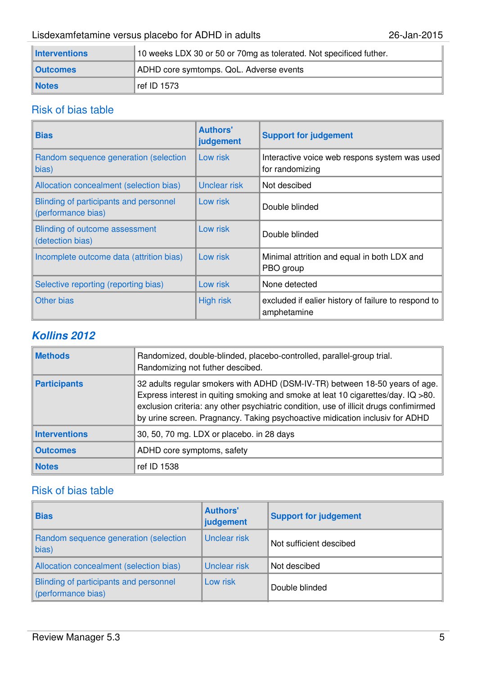| <b>Interventions</b> | 10 weeks LDX 30 or 50 or 70mg as tolerated. Not specificed futher. |
|----------------------|--------------------------------------------------------------------|
| <b>Outcomes</b>      | ADHD core symtomps. QoL. Adverse events                            |
| <b>Notes</b>         | ref ID 1573                                                        |

#### Risk of bias table

| <b>Bias</b>                                                  | <b>Authors'</b><br>judgement | <b>Support for judgement</b>                                       |
|--------------------------------------------------------------|------------------------------|--------------------------------------------------------------------|
| Random sequence generation (selection<br>bias)               | Low risk                     | Interactive voice web respons system was used<br>for randomizing   |
| Allocation concealment (selection bias)                      | <b>Unclear risk</b>          | Not descibed                                                       |
| Blinding of participants and personnel<br>(performance bias) | Low risk                     | Double blinded                                                     |
| Blinding of outcome assessment<br>(detection bias)           | Low risk                     | Double blinded                                                     |
| Incomplete outcome data (attrition bias)                     | Low risk                     | Minimal attrition and equal in both LDX and<br>PBO group           |
| Selective reporting (reporting bias)                         | Low risk                     | None detected                                                      |
| <b>Other bias</b>                                            | <b>High risk</b>             | excluded if ealier history of failure to respond to<br>amphetamine |

## **Kollins 2012**

| <b>Methods</b>       | Randomized, double-blinded, placebo-controlled, parallel-group trial.<br>Randomizing not futher descibed.                                                                                                                                                                                                                                |
|----------------------|------------------------------------------------------------------------------------------------------------------------------------------------------------------------------------------------------------------------------------------------------------------------------------------------------------------------------------------|
| <b>Participants</b>  | 32 adults regular smokers with ADHD (DSM-IV-TR) between 18-50 years of age.<br>Express interest in quiting smoking and smoke at leat 10 cigarettes/day. IQ >80.<br>exclusion criteria: any other psychiatric condition, use of illicit drugs confimirmed<br>by urine screen. Pragnancy. Taking psychoactive midication inclusiv for ADHD |
| <b>Interventions</b> | 30, 50, 70 mg. LDX or placebo. in 28 days                                                                                                                                                                                                                                                                                                |
| <b>Outcomes</b>      | ADHD core symptoms, safety                                                                                                                                                                                                                                                                                                               |
| <b>Notes</b>         | ref ID 1538                                                                                                                                                                                                                                                                                                                              |

| <b>Bias</b>                                                  | <b>Authors'</b><br>judgement | <b>Support for judgement</b> |
|--------------------------------------------------------------|------------------------------|------------------------------|
| Random sequence generation (selection<br>bias)               | Unclear risk                 | Not sufficient descibed      |
| Allocation concealment (selection bias)                      | Unclear risk                 | Not descibed                 |
| Blinding of participants and personnel<br>(performance bias) | Low risk                     | Double blinded               |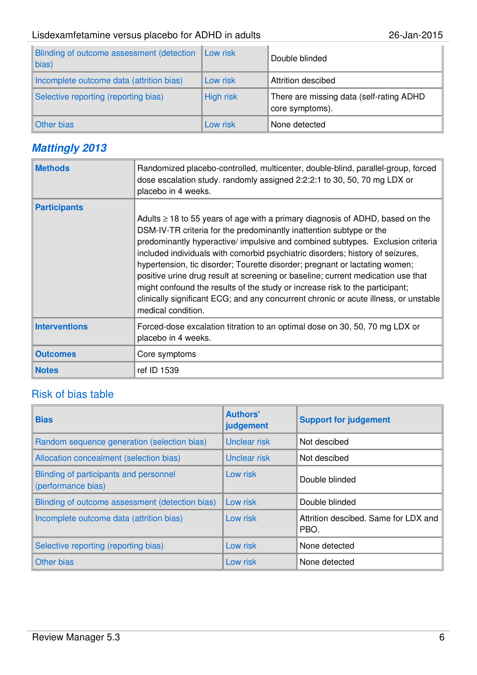| Blinding of outcome assessment (detection<br>bias) | <b>Low risk</b> | Double blinded                                              |
|----------------------------------------------------|-----------------|-------------------------------------------------------------|
| Incomplete outcome data (attrition bias)           | Low risk        | Attrition descibed                                          |
| Selective reporting (reporting bias)               | High risk       | There are missing data (self-rating ADHD<br>core symptoms). |
| <b>Other bias</b>                                  | Low risk        | None detected                                               |

## **Mattingly 2013**

| <b>Methods</b>       | Randomized placebo-controlled, multicenter, double-blind, parallel-group, forced<br>dose escalation study. randomly assigned 2:2:2:1 to 30, 50, 70 mg LDX or<br>placebo in 4 weeks.                                                                                                                                                                                                                                                                                                                                                                                                                                                                                                           |
|----------------------|-----------------------------------------------------------------------------------------------------------------------------------------------------------------------------------------------------------------------------------------------------------------------------------------------------------------------------------------------------------------------------------------------------------------------------------------------------------------------------------------------------------------------------------------------------------------------------------------------------------------------------------------------------------------------------------------------|
| <b>Participants</b>  | Adults $\geq$ 18 to 55 years of age with a primary diagnosis of ADHD, based on the<br>DSM-IV-TR criteria for the predominantly inattention subtype or the<br>predominantly hyperactive/impulsive and combined subtypes. Exclusion criteria<br>included individuals with comorbid psychiatric disorders; history of seizures,<br>hypertension, tic disorder; Tourette disorder; pregnant or lactating women;<br>positive urine drug result at screening or baseline; current medication use that<br>might confound the results of the study or increase risk to the participant;<br>clinically significant ECG; and any concurrent chronic or acute illness, or unstable<br>medical condition. |
| <b>Interventions</b> | Forced-dose excalation titration to an optimal dose on 30, 50, 70 mg LDX or<br>placebo in 4 weeks.                                                                                                                                                                                                                                                                                                                                                                                                                                                                                                                                                                                            |
| <b>Outcomes</b>      | Core symptoms                                                                                                                                                                                                                                                                                                                                                                                                                                                                                                                                                                                                                                                                                 |
| <b>Notes</b>         | ref ID 1539                                                                                                                                                                                                                                                                                                                                                                                                                                                                                                                                                                                                                                                                                   |

| <b>Bias</b>                                                  | <b>Authors'</b><br>judgement | <b>Support for judgement</b>                 |
|--------------------------------------------------------------|------------------------------|----------------------------------------------|
| Random sequence generation (selection bias)                  | Unclear risk                 | Not descibed                                 |
| Allocation concealment (selection bias)                      | Unclear risk                 | Not descibed                                 |
| Blinding of participants and personnel<br>(performance bias) | Low risk                     | Double blinded                               |
| Blinding of outcome assessment (detection bias)              | Low risk                     | Double blinded                               |
| Incomplete outcome data (attrition bias)                     | Low risk                     | Attrition descibed. Same for LDX and<br>PBO. |
| Selective reporting (reporting bias)                         | Low risk                     | None detected                                |
| Other bias                                                   | Low risk                     | None detected                                |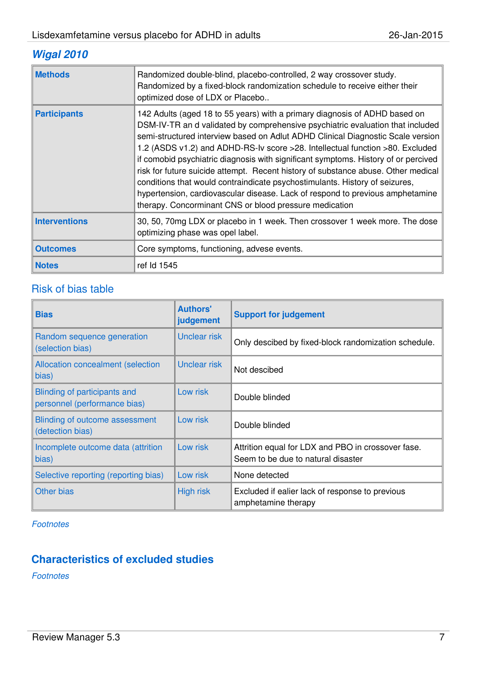# **Wigal 2010**

| <b>Methods</b>       | Randomized double-blind, placebo-controlled, 2 way crossover study.<br>Randomized by a fixed-block randomization schedule to receive either their<br>optimized dose of LDX or Placebo                                                                                                                                                                                                                                                                                                                                                                                                                                                                                                                                                   |
|----------------------|-----------------------------------------------------------------------------------------------------------------------------------------------------------------------------------------------------------------------------------------------------------------------------------------------------------------------------------------------------------------------------------------------------------------------------------------------------------------------------------------------------------------------------------------------------------------------------------------------------------------------------------------------------------------------------------------------------------------------------------------|
| <b>Participants</b>  | 142 Adults (aged 18 to 55 years) with a primary diagnosis of ADHD based on<br>DSM-IV-TR an d validated by comprehensive psychiatric evaluation that included<br>semi-structured interview based on Adlut ADHD Clinical Diagnostic Scale version<br>1.2 (ASDS v1.2) and ADHD-RS-Iv score > 28. Intellectual function > 80. Excluded<br>if comobid psychiatric diagnosis with significant symptoms. History of or percived<br>risk for future suicide attempt. Recent history of substance abuse. Other medical<br>conditions that would contraindicate psychostimulants. History of seizures,<br>hypertension, cardiovascular disease. Lack of respond to previous amphetamine<br>therapy. Concorminant CNS or blood pressure medication |
| <b>Interventions</b> | 30, 50, 70mg LDX or placebo in 1 week. Then crossover 1 week more. The dose<br>optimizing phase was opel label.                                                                                                                                                                                                                                                                                                                                                                                                                                                                                                                                                                                                                         |
| <b>Outcomes</b>      | Core symptoms, functioning, advese events.                                                                                                                                                                                                                                                                                                                                                                                                                                                                                                                                                                                                                                                                                              |
| <b>Notes</b>         | ref Id 1545                                                                                                                                                                                                                                                                                                                                                                                                                                                                                                                                                                                                                                                                                                                             |

## Risk of bias table

| <b>Bias</b>                                                  | <b>Authors'</b><br>judgement | <b>Support for judgement</b>                                                             |
|--------------------------------------------------------------|------------------------------|------------------------------------------------------------------------------------------|
| Random sequence generation<br>(selection bias)               | Unclear risk                 | Only descibed by fixed-block randomization schedule.                                     |
| <b>Allocation concealment (selection</b><br>bias)            | Unclear risk                 | Not descibed                                                                             |
| Blinding of participants and<br>personnel (performance bias) | Low risk                     | Double blinded                                                                           |
| <b>Blinding of outcome assessment</b><br>(detection bias)    | Low risk                     | Double blinded                                                                           |
| Incomplete outcome data (attrition<br>bias)                  | Low risk                     | Attrition equal for LDX and PBO in crossover fase.<br>Seem to be due to natural disaster |
| Selective reporting (reporting bias)                         | Low risk                     | None detected                                                                            |
| Other bias                                                   | <b>High risk</b>             | Excluded if ealier lack of response to previous<br>amphetamine therapy                   |

**Footnotes** 

## **Characteristics of excluded studies**

Footnotes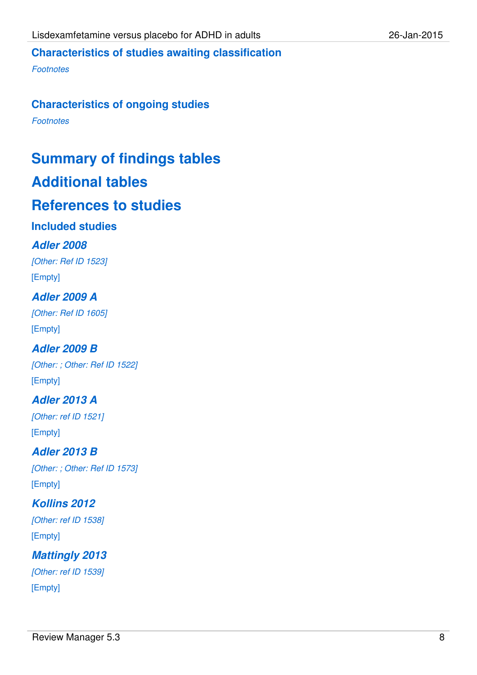## **Characteristics of studies awaiting classification**

**Footnotes** 

#### **Characteristics of ongoing studies**

**Footnotes** 

# **Summary of findings tables**

# **Additional tables**

# **References to studies**

#### **Included studies**

#### **Adler 2008**

[Other: Ref ID 1523] [Empty]

## **Adler 2009 A**

[Other: Ref ID 1605] [Empty]

## **Adler 2009 B**

[Other: ; Other: Ref ID 1522] [Empty]

#### **Adler 2013 A**

[Other: ref ID 1521] [Empty]

**Adler 2013 B** [Other: ; Other: Ref ID 1573] [Empty]

#### **Kollins 2012** [Other: ref ID 1538]

[Empty]

# **Mattingly 2013**

[Other: ref ID 1539] [Empty]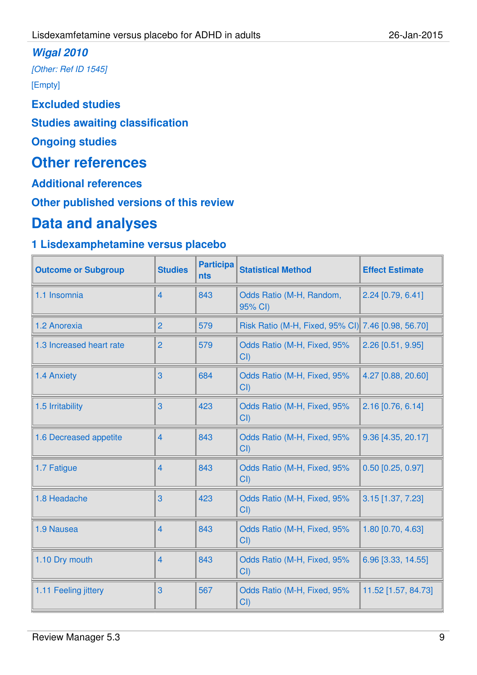#### **Wigal 2010**

[Other: Ref ID 1545]

[Empty]

**Excluded studies**

#### **Studies awaiting classification**

**Ongoing studies**

# **Other references**

**Additional references**

**Other published versions of this review**

# **Data and analyses**

# **1 Lisdexamphetamine versus placebo**

| <b>Outcome or Subgroup</b> | <b>Studies</b> | <b>Participa</b><br><b>nts</b> | <b>Statistical Method</b>                          | <b>Effect Estimate</b> |
|----------------------------|----------------|--------------------------------|----------------------------------------------------|------------------------|
| 1.1 Insomnia               | $\overline{4}$ | 843                            | Odds Ratio (M-H, Random,<br>95% CI)                | 2.24 [0.79, 6.41]      |
| 1.2 Anorexia               | $\overline{2}$ | 579                            | Risk Ratio (M-H, Fixed, 95% CI) 7.46 [0.98, 56.70] |                        |
| 1.3 Increased heart rate   | $\overline{2}$ | 579                            | Odds Ratio (M-H, Fixed, 95%<br>CI                  | 2.26 [0.51, 9.95]      |
| 1.4 Anxiety                | 3              | 684                            | Odds Ratio (M-H, Fixed, 95%<br>CI                  | 4.27 [0.88, 20.60]     |
| 1.5 Irritability           | 3              | 423                            | Odds Ratio (M-H, Fixed, 95%<br>CI()                | 2.16 [0.76, 6.14]      |
| 1.6 Decreased appetite     | $\overline{4}$ | 843                            | Odds Ratio (M-H, Fixed, 95%<br>CI                  | 9.36 [4.35, 20.17]     |
| 1.7 Fatigue                | $\overline{4}$ | 843                            | Odds Ratio (M-H, Fixed, 95%<br>CI                  | $0.50$ [0.25, 0.97]    |
| 1.8 Headache               | 3              | 423                            | Odds Ratio (M-H, Fixed, 95%<br>CI                  | 3.15 [1.37, 7.23]      |
| 1.9 Nausea                 | $\overline{4}$ | 843                            | Odds Ratio (M-H, Fixed, 95%<br>CI                  | 1.80 [0.70, 4.63]      |
| 1.10 Dry mouth             | $\overline{4}$ | 843                            | Odds Ratio (M-H, Fixed, 95%<br>CI()                | 6.96 [3.33, 14.55]     |
| 1.11 Feeling jittery       | 3              | 567                            | Odds Ratio (M-H, Fixed, 95%<br>CI                  | 11.52 [1.57, 84.73]    |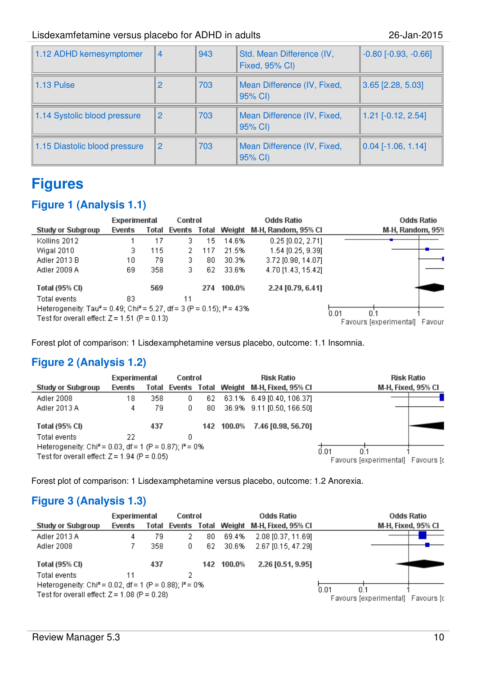| 1.12 ADHD kernesymptomer      | 4              | 943 | Std. Mean Difference (IV,<br><b>Fixed, 95% CI)</b> | $-0.80$ $[-0.93, -0.66]$ |
|-------------------------------|----------------|-----|----------------------------------------------------|--------------------------|
| 1.13 Pulse                    | 2              | 703 | Mean Difference (IV, Fixed,<br>95% CI)             | $3.65$ [2.28, 5.03]      |
| 1.14 Systolic blood pressure  | $\overline{2}$ | 703 | Mean Difference (IV, Fixed,<br>95% CI)             | $1.21$ [-0.12, 2.54]     |
| 1.15 Diastolic blood pressure | $\overline{2}$ | 703 | Mean Difference (IV, Fixed,<br>95% CI)             | $0.04$ [-1.06, 1.14]     |

# **Figures**

#### **Figure 1 (Analysis 1.1)**

|                                                                                                | Experimental                           |     | Control |     |            | <b>Odds Ratio</b>   | <b>Odds Ratio</b>                |  |  |
|------------------------------------------------------------------------------------------------|----------------------------------------|-----|---------|-----|------------|---------------------|----------------------------------|--|--|
| Study or Subgroup                                                                              | Events Total Weight<br>Events<br>Total |     |         |     |            | M-H, Random, 95% CI | M-H, Random, 95%                 |  |  |
| Kollins 2012                                                                                   |                                        | 17  | 3       | 15  | 14.6%      | $0.25$ [0.02, 2.71] |                                  |  |  |
| Wigal 2010                                                                                     | з.                                     | 115 |         | 117 | 21.5%      | 1.54 [0.25, 9.39]   |                                  |  |  |
| Adler 2013 B                                                                                   | 10                                     | 79  | з       | 80  | 30.3%      | 3.72 [0.98, 14.07]  |                                  |  |  |
| Adler 2009 A                                                                                   | 69                                     | 358 | з.      | 62  | 33.6%      | 4.70 [1.43, 15.42]  |                                  |  |  |
| Total (95% CI)                                                                                 |                                        | 569 |         |     | 274 100.0% | 2.24 [0.79, 6.41]   |                                  |  |  |
| Total events                                                                                   | 83                                     |     | 11      |     |            |                     |                                  |  |  |
| Heterogeneity: Tau <sup>2</sup> = 0.49; Chi <sup>2</sup> = 5.27, df = 3 (P = 0.15); $P = 43\%$ |                                        |     |         |     |            |                     | 0.01<br>0.1                      |  |  |
| Test for overall effect: $Z = 1.51$ (P = 0.13)                                                 |                                        |     |         |     |            |                     | Favours [experimental]<br>Favour |  |  |

Forest plot of comparison: 1 Lisdexamphetamine versus placebo, outcome: 1.1 Insomnia.

## **Figure 2 (Analysis 1.2)**

|                                                                                                                        | Experimental |       | Control |    |            | <b>Risk Ratio</b>                      | Risk Ratio                        |  |  |
|------------------------------------------------------------------------------------------------------------------------|--------------|-------|---------|----|------------|----------------------------------------|-----------------------------------|--|--|
| Study or Subgroup                                                                                                      | Events       | Total |         |    |            | Events Total Weight M-H, Fixed, 95% CI | M-H, Fixed, 95% CI                |  |  |
| Adler 2008                                                                                                             | 18           | 358   | 0       | 62 |            | 63.1% 6.49 [0.40, 106.37]              |                                   |  |  |
| Adler 2013 A                                                                                                           | 4            | 79.   | 0       | 80 |            | 36.9% 9.11 [0.50, 166.50]              |                                   |  |  |
| Total (95% CI)                                                                                                         |              | 437   |         |    | 142 100.0% | 7.46 [0.98, 56.70]                     |                                   |  |  |
| Total events                                                                                                           | 22           |       | 0       |    |            |                                        |                                   |  |  |
| Heterogeneity: Chi <sup>2</sup> = 0.03, df = 1 (P = 0.87); $P = 0\%$<br>Test for overall effect: $Z = 1.94$ (P = 0.05) |              |       |         |    |            |                                        | 0.01                              |  |  |
|                                                                                                                        |              |       |         |    |            |                                        | Favours [experimental] Favours [c |  |  |

Forest plot of comparison: 1 Lisdexamphetamine versus placebo, outcome: 1.2 Anorexia.

## **Figure 3 (Analysis 1.3)**

|                                                                      | Experimental |     | Control |    |            | <b>Odds Ratio</b>                            | Odds Ratio                        |  |  |  |
|----------------------------------------------------------------------|--------------|-----|---------|----|------------|----------------------------------------------|-----------------------------------|--|--|--|
| Study or Subgroup                                                    | Events       |     |         |    |            | Total Events Total Weight M-H, Fixed, 95% CI | M-H, Fixed, 95% CI                |  |  |  |
| Adler 2013 A                                                         | 4            | 79  |         | 80 | 69.4%      | 2.08 [0.37, 11.69]                           |                                   |  |  |  |
| Adler 2008                                                           |              | 358 | 0       | 62 | 30.6%      | 2.67 [0.15, 47.29]                           |                                   |  |  |  |
| Total (95% CI)                                                       |              | 437 |         |    | 142 100.0% | 2.26 [0.51, 9.95]                            |                                   |  |  |  |
| Total events                                                         | 11           |     |         |    |            |                                              |                                   |  |  |  |
| Heterogeneity: Chi <sup>2</sup> = 0.02, df = 1 (P = 0.88); $P = 0\%$ |              |     |         |    |            |                                              | 0.01                              |  |  |  |
| Test for overall effect: $Z = 1.08$ (P = 0.28)                       |              |     |         |    |            |                                              | Favours [experimental] Favours [c |  |  |  |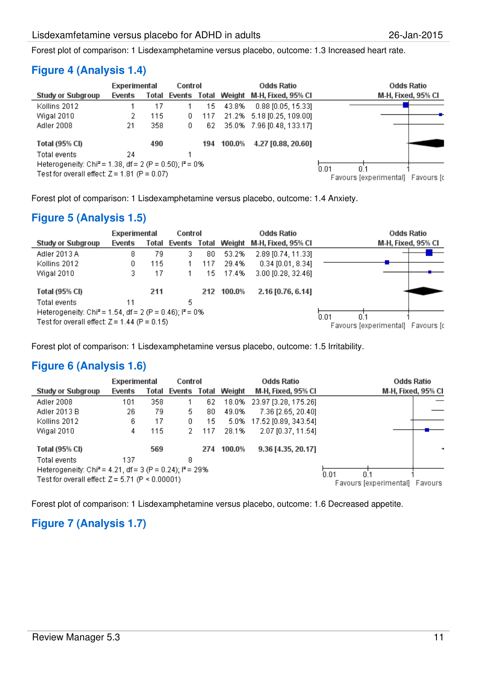Forest plot of comparison: 1 Lisdexamphetamine versus placebo, outcome: 1.3 Increased heart rate.

#### **Figure 4 (Analysis 1.4)**

|                                                                                                                        | Experimental |     | Control |      |        | Odds Ratio                                   | Odds Ratio                                       |  |  |  |
|------------------------------------------------------------------------------------------------------------------------|--------------|-----|---------|------|--------|----------------------------------------------|--------------------------------------------------|--|--|--|
| Study or Subgroup                                                                                                      | Events       |     |         |      |        | Total Events Total Weight M-H, Fixed, 95% Cl | M-H, Fixed, 95% CI                               |  |  |  |
| Kollins 2012                                                                                                           |              | 17  |         | 15   | 43.8%  | $0.88$ [0.05, 15.33]                         |                                                  |  |  |  |
| Wigal 2010                                                                                                             | 2            | 115 | 0.      | -117 |        | 21.2% 5.18 [0.25, 109.00]                    |                                                  |  |  |  |
| Adler 2008                                                                                                             | 21           | 358 | 0.      | 62.  |        | 35.0% 7.96 [0.48, 133.17]                    |                                                  |  |  |  |
| Total (95% CI)                                                                                                         |              | 490 |         | 194  | 100.0% | 4.27 [0.88, 20.60]                           |                                                  |  |  |  |
| Total events                                                                                                           | 24           |     |         |      |        |                                              |                                                  |  |  |  |
| Heterogeneity: Chi <sup>2</sup> = 1.38, df = 2 (P = 0.50); $P = 0\%$<br>Test for overall effect: $Z = 1.81$ (P = 0.07) |              |     |         |      |        |                                              | 0.01<br>0.1<br>Favours (experimental) Favours (c |  |  |  |

Forest plot of comparison: 1 Lisdexamphetamine versus placebo, outcome: 1.4 Anxiety.

#### **Figure 5 (Analysis 1.5)**

|                                                                                                                        | Experimental<br>Control |       |        |     | Odds Ratio   | <b>Odds Ratio</b>   |                                           |  |
|------------------------------------------------------------------------------------------------------------------------|-------------------------|-------|--------|-----|--------------|---------------------|-------------------------------------------|--|
| <b>Study or Subgroup</b>                                                                                               | Events                  | Total | Events |     | Total Weight | M-H, Fixed, 95% Cl  | M-H, Fixed, 95% CI                        |  |
| Adler 2013 A                                                                                                           | 8.                      | 79    | 3      | 80  | 53.2%        | 2.89 [0.74, 11.33]  |                                           |  |
| Kollins 2012                                                                                                           | 0.                      | 115   |        | 117 | 29.4%        | $0.34$ [0.01, 8.34] |                                           |  |
| Wigal 2010                                                                                                             | 3.                      | 17    |        | 15. | 17.4%        | 3.00 [0.28, 32.46]  |                                           |  |
| Total (95% CI)                                                                                                         |                         | 211   |        |     | 212 100.0%   | 2.16 [0.76, 6.14]   |                                           |  |
| Total events                                                                                                           | 11                      |       | 5.     |     |              |                     |                                           |  |
| Heterogeneity: Chi <sup>2</sup> = 1.54, df = 2 (P = 0.46); $P = 0\%$<br>Test for overall effect: $Z = 1.44$ (P = 0.15) |                         |       |        |     |              |                     | 0.01<br>Favours [experimental] Favours [c |  |

Forest plot of comparison: 1 Lisdexamphetamine versus placebo, outcome: 1.5 Irritability.

#### **Figure 6 (Analysis 1.6)**

|                                                                       | Experimental<br>Control |       |        |     |                     | <b>Odds Ratio</b>          | <b>Odds Ratio</b>                 |  |  |  |
|-----------------------------------------------------------------------|-------------------------|-------|--------|-----|---------------------|----------------------------|-----------------------------------|--|--|--|
| Study or Subgroup                                                     | Events                  | Total | Events |     | <b>Total Weight</b> | M-H, Fixed, 95% Cl         | M-H, Fixed, 95% CI                |  |  |  |
| Adler 2008                                                            | 101                     | 358   |        | 62  |                     | 18.0% 23.97 [3.28, 175.26] |                                   |  |  |  |
| Adler 2013 B                                                          | 26                      | 79    | 5.     | 80  | 49.0%               | 7.36 [2.65, 20.40]         |                                   |  |  |  |
| Kollins 2012                                                          | 6                       | 17    | 0.     | 15. | 5.0%                | 17.52 [0.89, 343.54]       |                                   |  |  |  |
| Widal 2010                                                            | 4                       | 115   | 2.     | 117 | 28.1%               | 2.07 [0.37, 11.54]         |                                   |  |  |  |
| Total (95% CI)                                                        |                         | 569   |        |     | 274 100.0%          | 9.36 [4.35, 20.17]         |                                   |  |  |  |
| Total events                                                          | 137                     |       | 8      |     |                     |                            |                                   |  |  |  |
| Heterogeneity: Chi <sup>2</sup> = 4.21, df = 3 (P = 0.24); $P = 29\%$ |                         |       |        |     |                     |                            | 0.01<br>0.1                       |  |  |  |
| Test for overall effect: $Z = 5.71$ (P $\leq 0.00001$ )               |                         |       |        |     |                     |                            | Favours (experimental)<br>Favours |  |  |  |

Forest plot of comparison: 1 Lisdexamphetamine versus placebo, outcome: 1.6 Decreased appetite.

# **Figure 7 (Analysis 1.7)**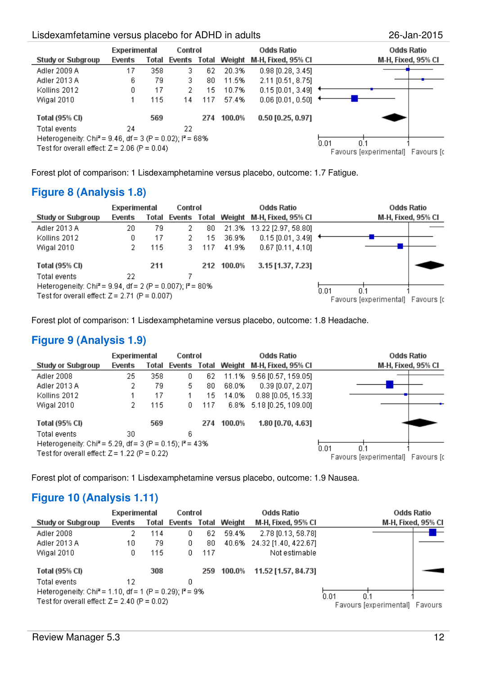



Forest plot of comparison: 1 Lisdexamphetamine versus placebo, outcome: 1.7 Fatigue.

#### **Figure 8 (Analysis 1.8)**

|                                                                        | Experimental<br>Control |       |        |     | <b>Odds Ratio</b>                 | Odds Ratio                      |                    |  |
|------------------------------------------------------------------------|-------------------------|-------|--------|-----|-----------------------------------|---------------------------------|--------------------|--|
| <b>Study or Subgroup</b>                                               | Events                  | Total | Events |     |                                   | Total Weight M-H, Fixed, 95% CI | M-H, Fixed, 95% CI |  |
| Adler 2013 A                                                           | 20                      | 79    |        | 80  | 21.3%                             | 13.22 [2.97, 58.80]             |                    |  |
| Kollins 2012                                                           | 0                       | 17    | 2      | 15  | 36.9%                             | $0.15$ [0.01, 3.49]             |                    |  |
| Wigal 2010                                                             |                         | 115   | 3      | 117 | 41.9%                             | $0.67$ [0.11, 4.10]             |                    |  |
| Total (95% CI)                                                         |                         | 211   |        |     | 212 100.0%                        | 3.15 [1.37, 7.23]               |                    |  |
| Total events                                                           | 22.                     |       |        |     |                                   |                                 |                    |  |
| Heterogeneity: Chi <sup>2</sup> = 9.94, df = 2 (P = 0.007); $P = 80\%$ |                         |       |        |     |                                   |                                 | 0.01               |  |
| Test for overall effect: $Z = 2.71$ (P = 0.007)                        |                         |       |        |     | Favours (experimental) Favours (c |                                 |                    |  |

Forest plot of comparison: 1 Lisdexamphetamine versus placebo, outcome: 1.8 Headache.

#### **Figure 9 (Analysis 1.9)**

|                                                                        |        | Experimental<br>Control |   |     |        | Odds Ratio                             | <b>Odds Ratio</b>                        |  |  |
|------------------------------------------------------------------------|--------|-------------------------|---|-----|--------|----------------------------------------|------------------------------------------|--|--|
| <b>Study or Subgroup</b>                                               | Events | Total                   |   |     |        | Events Total Weight M-H, Fixed, 95% CI | M-H, Fixed, 95% CI                       |  |  |
| Adler 2008                                                             | 25     | 358                     | 0 | 62  |        | 11.1% 9.56 [0.57, 159.05]              |                                          |  |  |
| Adler 2013 A                                                           | 2      | 79                      | 5 | 80  | 68.0%  | $0.39$ [0.07, 2.07]                    |                                          |  |  |
| Kollins 2012                                                           |        | 17                      |   | 15  | 14.0%  | $0.88$ [0.05, 15.33]                   |                                          |  |  |
| Wigal 2010                                                             | 2.     | 115                     | 0 | 117 |        | 6.8% 5.18 [0.25, 109.00]               |                                          |  |  |
| Total (95% CI)                                                         |        | 569                     |   | 274 | 100.0% | 1.80 [0.70, 4.63]                      |                                          |  |  |
| Total events                                                           | 30     |                         | 6 |     |        |                                        |                                          |  |  |
| Heterogeneity: Chi <sup>2</sup> = 5.29, df = 3 (P = 0.15); $I^2$ = 43% |        |                         |   |     |        |                                        | 0.01                                     |  |  |
| Test for overall effect: $Z = 1.22$ (P = 0.22)                         |        |                         |   |     |        |                                        | 0.1<br>Favours (experimental) Favours (c |  |  |

Forest plot of comparison: 1 Lisdexamphetamine versus placebo, outcome: 1.9 Nausea.

#### **Figure 10 (Analysis 1.11)**

|                                                                      | Experimental |       | Odds Ratio<br>Control |     |                     |                            | Odds Ratio                     |  |  |
|----------------------------------------------------------------------|--------------|-------|-----------------------|-----|---------------------|----------------------------|--------------------------------|--|--|
| Study or Subgroup                                                    | Events       | Total |                       |     | Events Total Weight | M-H, Fixed, 95% Cl         | M-H, Fixed, 95% CI             |  |  |
| Adler 2008                                                           |              | 114   | 0                     | 62  | 59.4%               | 2.78 [0.13, 58.78]         |                                |  |  |
| Adler 2013 A                                                         | 10           | 79    | 0                     | 80  |                     | 40.6% 24.32 [1.40, 422.67] |                                |  |  |
| Widal 2010                                                           | 0.           | 115   | 0                     | 117 |                     | Not estimable              |                                |  |  |
| <b>Total (95% CI)</b>                                                |              | 308   |                       |     | 259 100.0%          | 11.52 [1.57, 84.73]        |                                |  |  |
| Total events                                                         | 12           |       | 0                     |     |                     |                            |                                |  |  |
| Heterogeneity: Chi <sup>2</sup> = 1.10, df = 1 (P = 0.29); $P = 9\%$ |              |       |                       |     |                     |                            | 0.01<br>Ω.1                    |  |  |
| Test for overall effect: $Z = 2.40$ (P = 0.02)                       |              |       |                       |     |                     |                            | Favours (experimental) Favours |  |  |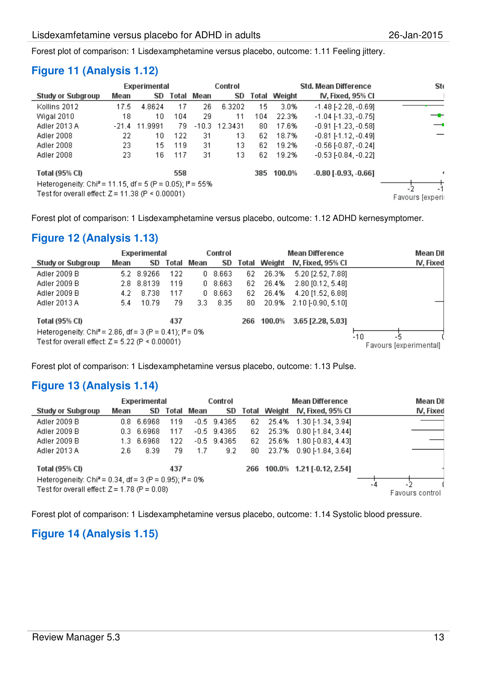Forest plot of comparison: 1 Lisdexamphetamine versus placebo, outcome: 1.11 Feeling jittery.

#### **Figure 11 (Analysis 1.12)**

|                                                                                                                                     | Experimental |         |     |            | Control               |       |        | <b>Std. Mean Difference</b>   | <b>Sto</b> |
|-------------------------------------------------------------------------------------------------------------------------------------|--------------|---------|-----|------------|-----------------------|-------|--------|-------------------------------|------------|
| <b>Study or Subgroup</b>                                                                                                            | Mean         | SD      |     | Total Mean | SD                    | Total | Weight | IV, Fixed, 95% CI             |            |
| Kollins 2012                                                                                                                        | 17.5         | 4.8624  | 17  | 26.        | 6.3202                | 15    | 3.0%   | $-1.48$ [ $-2.28$ , $-0.69$ ] |            |
| Wigal 2010                                                                                                                          | 18           | 10      | 104 | 29.        | 11                    | 104   | 22.3%  | $-1.04$ [ $-1.33$ , $-0.75$ ] | –⊷         |
| Adler 2013 A                                                                                                                        | $-21.4$      | 11.9991 | 79  |            | $-10.3$ 12.3431       | 80    | 17.6%  | $-0.91$ [-1.23, $-0.58$ ]     |            |
| Adler 2008                                                                                                                          | 22           | 10      | 122 | 31         | 13.                   | 62    | 18.7%  | $-0.81$ [-1.12, $-0.49$ ]     |            |
| Adler 2008                                                                                                                          | 23.          | 15      | 119 | 31         | 13.                   | 62    | 19.2%  | $-0.56$ [ $-0.87, -0.24$ ]    |            |
| Adler 2008                                                                                                                          | 23.          | 16.     | 117 | 31         | 13                    | 62    | 19.2%  | $-0.53$ $[-0.84, -0.22]$      |            |
| Total (95% CI)                                                                                                                      |              |         | 558 |            |                       | 385   | 100.0% | $-0.80$ [ $-0.93$ , $-0.66$ ] |            |
| Heterogeneity: Chi <sup>2</sup> = 11.15, df = 5 (P = 0.05); $I^2$ = 55%<br>Test for overall effect: $Z = 11.38$ (P $\leq 0.00001$ ) |              |         |     |            | -2<br>Favours (experi |       |        |                               |            |

Forest plot of comparison: 1 Lisdexamphetamine versus placebo, outcome: 1.12 ADHD kernesymptomer.

## **Figure 12 (Analysis 1.13)**

|                                                                      | Experimental |            |     |            | Control |     |              | <b>Mean Difference</b> | Mean Dif               |
|----------------------------------------------------------------------|--------------|------------|-----|------------|---------|-----|--------------|------------------------|------------------------|
| Study or Subgroup                                                    | Mean         | SD         |     | Total Mean | SD      |     | Total Weight | IV, Fixed, 95% Cl      | IV, Fixed              |
| Adler 2009 B                                                         | 5.2          | 8.9266     | 122 |            | 0 8.663 | 62  | 26.3%        | 5.20 [2.52, 7.88]      |                        |
| Adler 2009 B                                                         |              | 2.8 8.8139 | 119 |            | 0 8.663 | 62  | 26.4%        | 2.80 [0.12, 5.48]      |                        |
| Adler 2009 B                                                         | 4.2          | 8.738      | 117 |            | 0 8.663 | 62. | 26.4%        | 4.20 [1.52, 6.88]      |                        |
| Adler 2013 A                                                         | 5.4          | 10.79      | 79. | 3.3.       | -8.35   | 80. | 20.9%        | $2.10$ F0.90, 5.101    |                        |
| Total (95% CI)                                                       |              |            | 437 |            |         | 266 | 100.0%       | 3.65 [2.28, 5.03]      |                        |
| Heterogeneity: Chi <sup>2</sup> = 2.86, df = 3 (P = 0.41); $P = 0\%$ |              |            |     |            |         |     |              |                        | -10                    |
| Test for overall effect: $Z = 5.22$ (P < 0.00001)                    |              |            |     |            |         |     |              |                        | Favours [experimental] |

Forest plot of comparison: 1 Lisdexamphetamine versus placebo, outcome: 1.13 Pulse.

#### **Figure 13 (Analysis 1.14)**

|                                                                       |      | Experimental          |     | Control       |               |     |              | <b>Mean Difference</b>        |  | Mean Dit  |
|-----------------------------------------------------------------------|------|-----------------------|-----|---------------|---------------|-----|--------------|-------------------------------|--|-----------|
| <b>Study or Subgroup</b>                                              | Mean |                       |     | SD Total Mean | SD            |     | Total Weight | IV, Fixed, 95% Cl             |  | IV, Fixed |
| Adler 2009 B                                                          |      | 0.8 <sub>6.6968</sub> | 119 |               | $-0.5$ 9.4365 | 62  |              | 25.4% 1.30 [-1.34, 3.94]      |  |           |
| Adler 2009 B                                                          |      | $0.3\quad 6.6968$     | 117 |               | $-0.5$ 9.4365 | 62  |              | 25.3% 0.80 [-1.84, 3.44]      |  |           |
| Adler 2009 B                                                          | 1.3. | 6.6968                | 122 |               | $-0.5$ 9.4365 | 62. | 25.6%        | $1.80$ [-0.83, 4.43]          |  |           |
| Adler 2013 A                                                          | 2.6. | 8.39                  | 79  | 1.7           | 9.2           | 80. |              | 23.7% 0.90 [-1.84, 3.64]      |  |           |
| Total (95% CI)                                                        |      |                       | 437 |               |               |     |              | 266 100.0% 1.21 [ 0.12, 2.54] |  |           |
| Heterogeneity: Chi <sup>2</sup> = 0.34, df = 3 (P = 0.95); $I^2$ = 0% |      |                       |     |               |               |     |              |                               |  |           |
| Test for overall effect: $Z = 1.78$ (P = 0.08)                        | -4   | Favours control       |     |               |               |     |              |                               |  |           |

Forest plot of comparison: 1 Lisdexamphetamine versus placebo, outcome: 1.14 Systolic blood pressure.

## **Figure 14 (Analysis 1.15)**